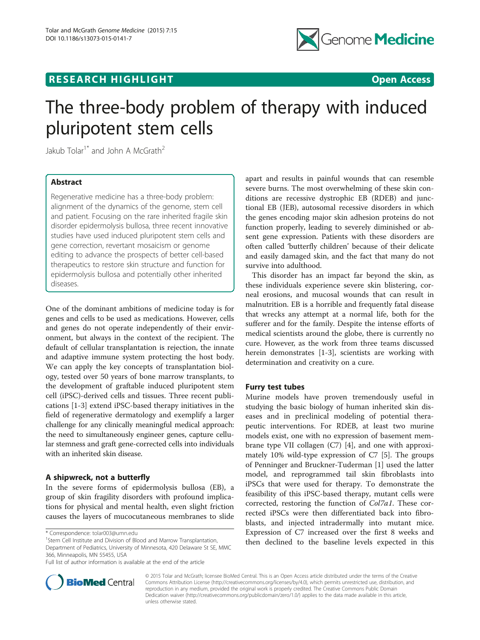# **RESEARCH HIGHLIGHT CONSUMING THE OPEN ACCESS**



# The three-body problem of therapy with induced pluripotent stem cells

Jakub Tolar<sup>1\*</sup> and John A McGrath<sup>2</sup>

# Abstract

Regenerative medicine has a three-body problem: alignment of the dynamics of the genome, stem cell and patient. Focusing on the rare inherited fragile skin disorder epidermolysis bullosa, three recent innovative studies have used induced pluripotent stem cells and gene correction, revertant mosaicism or genome editing to advance the prospects of better cell-based therapeutics to restore skin structure and function for epidermolysis bullosa and potentially other inherited diseases.

One of the dominant ambitions of medicine today is for genes and cells to be used as medications. However, cells and genes do not operate independently of their environment, but always in the context of the recipient. The default of cellular transplantation is rejection, the innate and adaptive immune system protecting the host body. We can apply the key concepts of transplantation biology, tested over 50 years of bone marrow transplants, to the development of graftable induced pluripotent stem cell (iPSC)-derived cells and tissues. Three recent publications [[1-3](#page-2-0)] extend iPSC-based therapy initiatives in the field of regenerative dermatology and exemplify a larger challenge for any clinically meaningful medical approach: the need to simultaneously engineer genes, capture cellular stemness and graft gene-corrected cells into individuals with an inherited skin disease.

## A shipwreck, not a butterfly

In the severe forms of epidermolysis bullosa (EB), a group of skin fragility disorders with profound implications for physical and mental health, even slight friction causes the layers of mucocutaneous membranes to slide

<sup>1</sup>Stem Cell Institute and Division of Blood and Marrow Transplantation, Department of Pediatrics, University of Minnesota, 420 Delaware St SE, MMC 366, Minneapolis, MN 55455, USA



This disorder has an impact far beyond the skin, as these individuals experience severe skin blistering, corneal erosions, and mucosal wounds that can result in malnutrition. EB is a horrible and frequently fatal disease that wrecks any attempt at a normal life, both for the sufferer and for the family. Despite the intense efforts of medical scientists around the globe, there is currently no cure. However, as the work from three teams discussed herein demonstrates [[1-3\]](#page-2-0), scientists are working with determination and creativity on a cure.

#### Furry test tubes

Murine models have proven tremendously useful in studying the basic biology of human inherited skin diseases and in preclinical modeling of potential therapeutic interventions. For RDEB, at least two murine models exist, one with no expression of basement membrane type VII collagen (C7) [[4\]](#page-2-0), and one with approximately 10% wild-type expression of C7 [\[5](#page-2-0)]. The groups of Penninger and Bruckner-Tuderman [\[1](#page-2-0)] used the latter model, and reprogrammed tail skin fibroblasts into iPSCs that were used for therapy. To demonstrate the feasibility of this iPSC-based therapy, mutant cells were corrected, restoring the function of Col7a1. These corrected iPSCs were then differentiated back into fibroblasts, and injected intradermally into mutant mice. Expression of C7 increased over the first 8 weeks and then declined to the baseline levels expected in this



© 2015 Tolar and McGrath; licensee BioMed Central. This is an Open Access article distributed under the terms of the Creative Commons Attribution License [\(http://creativecommons.org/licenses/by/4.0\)](http://creativecommons.org/licenses/by/4.0), which permits unrestricted use, distribution, and reproduction in any medium, provided the original work is properly credited. The Creative Commons Public Domain Dedication waiver [\(http://creativecommons.org/publicdomain/zero/1.0/](http://creativecommons.org/publicdomain/zero/1.0/)) applies to the data made available in this article, unless otherwise stated.

<sup>\*</sup> Correspondence: [tolar003@umn.edu](mailto:tolar003@umn.edu) <sup>1</sup>

Full list of author information is available at the end of the article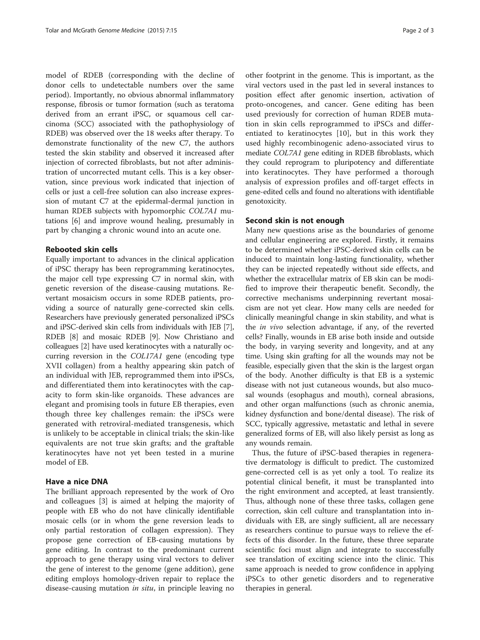model of RDEB (corresponding with the decline of donor cells to undetectable numbers over the same period). Importantly, no obvious abnormal inflammatory response, fibrosis or tumor formation (such as teratoma derived from an errant iPSC, or squamous cell carcinoma (SCC) associated with the pathophysiology of RDEB) was observed over the 18 weeks after therapy. To demonstrate functionality of the new C7, the authors tested the skin stability and observed it increased after injection of corrected fibroblasts, but not after administration of uncorrected mutant cells. This is a key observation, since previous work indicated that injection of cells or just a cell-free solution can also increase expression of mutant C7 at the epidermal-dermal junction in human RDEB subjects with hypomorphic COL7A1 mutations [[6\]](#page-2-0) and improve wound healing, presumably in part by changing a chronic wound into an acute one.

#### Rebooted skin cells

Equally important to advances in the clinical application of iPSC therapy has been reprogramming keratinocytes, the major cell type expressing C7 in normal skin, with genetic reversion of the disease-causing mutations. Revertant mosaicism occurs in some RDEB patients, providing a source of naturally gene-corrected skin cells. Researchers have previously generated personalized iPSCs and iPSC-derived skin cells from individuals with JEB [[7](#page-2-0)], RDEB [\[8](#page-2-0)] and mosaic RDEB [[9](#page-2-0)]. Now Christiano and colleagues [\[2](#page-2-0)] have used keratinocytes with a naturally occurring reversion in the COL17A1 gene (encoding type XVII collagen) from a healthy appearing skin patch of an individual with JEB, reprogrammed them into iPSCs, and differentiated them into keratinocytes with the capacity to form skin-like organoids. These advances are elegant and promising tools in future EB therapies, even though three key challenges remain: the iPSCs were generated with retroviral-mediated transgenesis, which is unlikely to be acceptable in clinical trials; the skin-like equivalents are not true skin grafts; and the graftable keratinocytes have not yet been tested in a murine model of EB.

### Have a nice DNA

The brilliant approach represented by the work of Oro and colleagues [[3\]](#page-2-0) is aimed at helping the majority of people with EB who do not have clinically identifiable mosaic cells (or in whom the gene reversion leads to only partial restoration of collagen expression). They propose gene correction of EB-causing mutations by gene editing. In contrast to the predominant current approach to gene therapy using viral vectors to deliver the gene of interest to the genome (gene addition), gene editing employs homology-driven repair to replace the disease-causing mutation in situ, in principle leaving no

other footprint in the genome. This is important, as the viral vectors used in the past led in several instances to position effect after genomic insertion, activation of proto-oncogenes, and cancer. Gene editing has been used previously for correction of human RDEB mutation in skin cells reprogrammed to iPSCs and differentiated to keratinocytes [[10\]](#page-2-0), but in this work they used highly recombinogenic adeno-associated virus to mediate COL7A1 gene editing in RDEB fibroblasts, which they could reprogram to pluripotency and differentiate into keratinocytes. They have performed a thorough analysis of expression profiles and off-target effects in gene-edited cells and found no alterations with identifiable genotoxicity.

#### Second skin is not enough

Many new questions arise as the boundaries of genome and cellular engineering are explored. Firstly, it remains to be determined whether iPSC-derived skin cells can be induced to maintain long-lasting functionality, whether they can be injected repeatedly without side effects, and whether the extracellular matrix of EB skin can be modified to improve their therapeutic benefit. Secondly, the corrective mechanisms underpinning revertant mosaicism are not yet clear. How many cells are needed for clinically meaningful change in skin stability, and what is the *in vivo* selection advantage, if any, of the reverted cells? Finally, wounds in EB arise both inside and outside the body, in varying severity and longevity, and at any time. Using skin grafting for all the wounds may not be feasible, especially given that the skin is the largest organ of the body. Another difficulty is that EB is a systemic disease with not just cutaneous wounds, but also mucosal wounds (esophagus and mouth), corneal abrasions, and other organ malfunctions (such as chronic anemia, kidney dysfunction and bone/dental disease). The risk of SCC, typically aggressive, metastatic and lethal in severe generalized forms of EB, will also likely persist as long as any wounds remain.

Thus, the future of iPSC-based therapies in regenerative dermatology is difficult to predict. The customized gene-corrected cell is as yet only a tool. To realize its potential clinical benefit, it must be transplanted into the right environment and accepted, at least transiently. Thus, although none of these three tasks, collagen gene correction, skin cell culture and transplantation into individuals with EB, are singly sufficient, all are necessary as researchers continue to pursue ways to relieve the effects of this disorder. In the future, these three separate scientific foci must align and integrate to successfully see translation of exciting science into the clinic. This same approach is needed to grow confidence in applying iPSCs to other genetic disorders and to regenerative therapies in general.